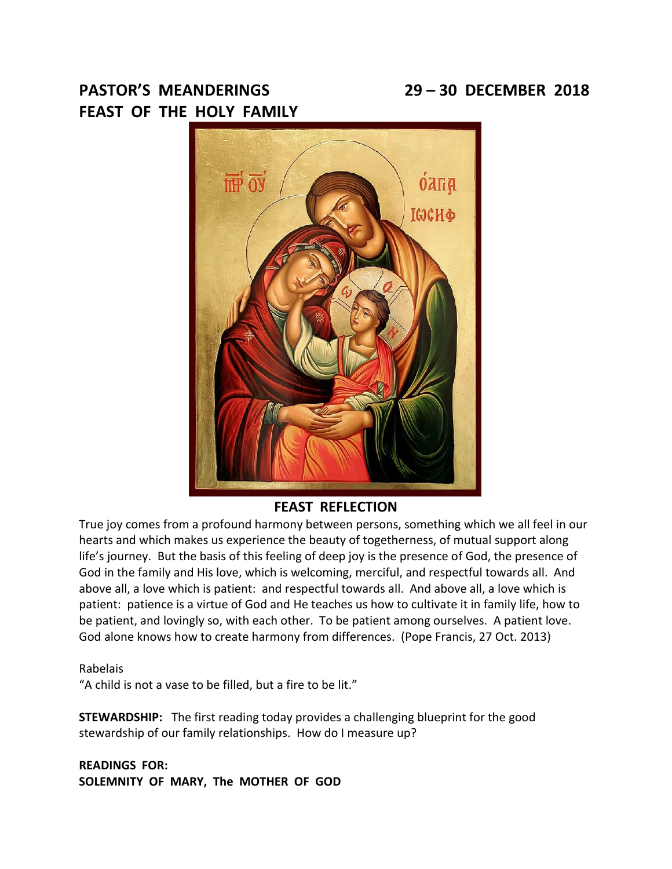# **PASTOR'S MEANDERINGS 29 – 30 DECEMBER 2018 FEAST OF THE HOLY FAMILY**



# **FEAST REFLECTION**

True joy comes from a profound harmony between persons, something which we all feel in our hearts and which makes us experience the beauty of togetherness, of mutual support along life's journey. But the basis of this feeling of deep joy is the presence of God, the presence of God in the family and His love, which is welcoming, merciful, and respectful towards all. And above all, a love which is patient: and respectful towards all. And above all, a love which is patient: patience is a virtue of God and He teaches us how to cultivate it in family life, how to be patient, and lovingly so, with each other. To be patient among ourselves. A patient love. God alone knows how to create harmony from differences. (Pope Francis, 27 Oct. 2013)

#### Rabelais

"A child is not a vase to be filled, but a fire to be lit."

**STEWARDSHIP:** The first reading today provides a challenging blueprint for the good stewardship of our family relationships. How do I measure up?

**READINGS FOR: SOLEMNITY OF MARY, The MOTHER OF GOD**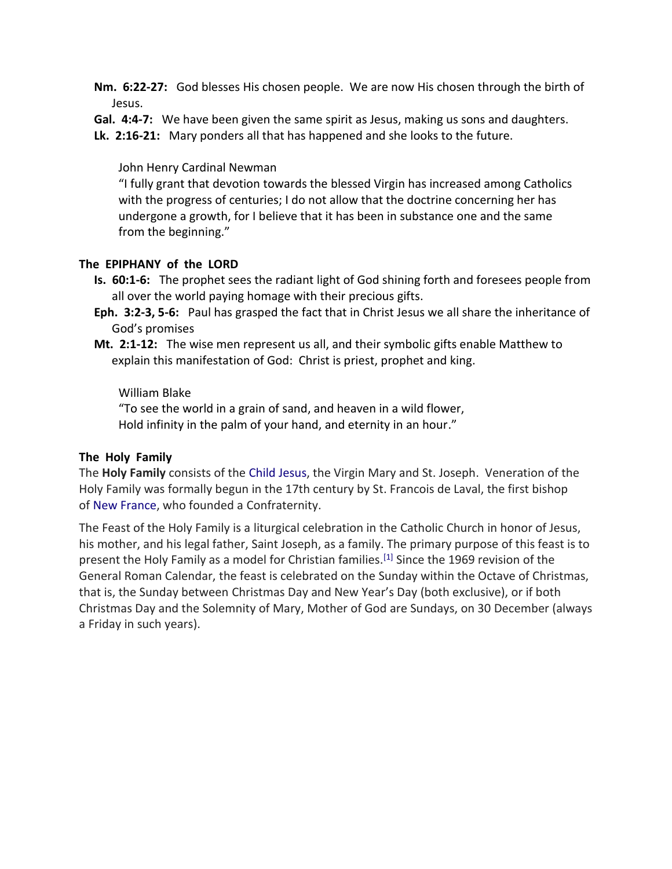- **Nm. 6:22-27:** God blesses His chosen people. We are now His chosen through the birth of Jesus.
- **Gal. 4:4-7:** We have been given the same spirit as Jesus, making us sons and daughters.
- **Lk. 2:16-21:** Mary ponders all that has happened and she looks to the future.

John Henry Cardinal Newman

"I fully grant that devotion towards the blessed Virgin has increased among Catholics with the progress of centuries; I do not allow that the doctrine concerning her has undergone a growth, for I believe that it has been in substance one and the same from the beginning."

#### **The EPIPHANY of the LORD**

- **Is. 60:1-6:** The prophet sees the radiant light of God shining forth and foresees people from all over the world paying homage with their precious gifts.
- **Eph. 3:2-3, 5-6:** Paul has grasped the fact that in Christ Jesus we all share the inheritance of God's promises
- **Mt. 2:1-12:** The wise men represent us all, and their symbolic gifts enable Matthew to explain this manifestation of God: Christ is priest, prophet and king.

#### William Blake

"To see the world in a grain of sand, and heaven in a wild flower, Hold infinity in the palm of your hand, and eternity in an hour."

#### **The Holy Family**

The **Holy Family** consists of the Child [Jesus,](https://en.wikipedia.org/wiki/Child_Jesus) the Virgin Mary and St. Joseph. Veneration of the Holy Family was formally begun in the 17th century by St. Francois de Laval, the first bishop of [New France,](https://en.wikipedia.org/wiki/New_France) who founded a Confraternity.

The Feast of the Holy Family is a liturgical celebration in the Catholic Church in honor of Jesus, his mother, and his legal father, Saint Joseph, as a family. The primary purpose of this feast is to present the Holy Family as a model for Christian families.<sup>[\[1\]](https://en.wikipedia.org/wiki/Holy_Family#cite_note-strasser-1)</sup> Since the 1969 revision of the General Roman Calendar, the feast is celebrated on the Sunday within the Octave of Christmas, that is, the Sunday between Christmas Day and New Year's Day (both exclusive), or if both Christmas Day and the Solemnity of Mary, Mother of God are Sundays, on 30 December (always a Friday in such years).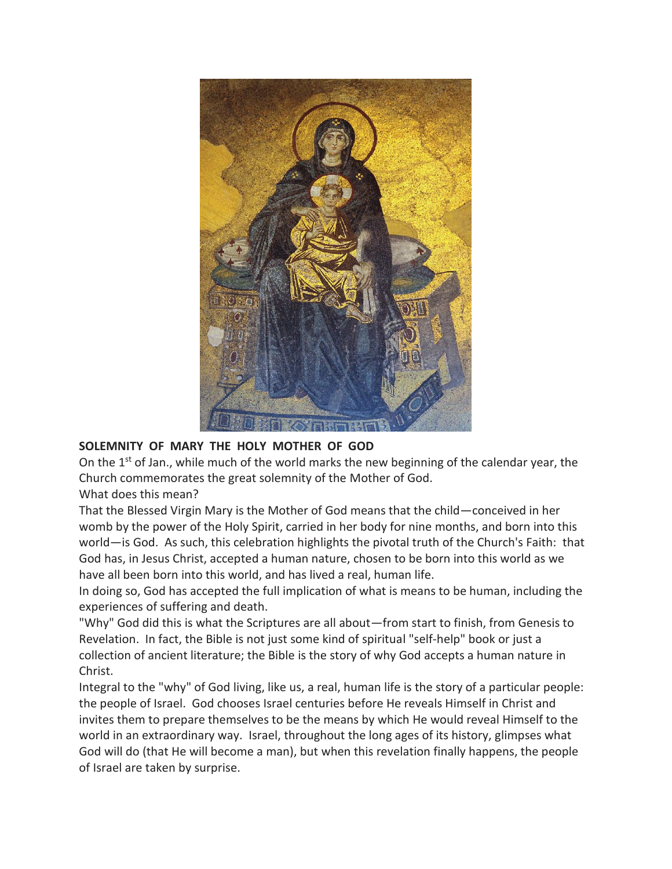

# **SOLEMNITY OF MARY THE HOLY MOTHER OF GOD**

On the 1st of Jan., while much of the world marks the new beginning of the calendar year, the Church commemorates the great solemnity of the Mother of God.

What does this mean?

That the Blessed Virgin Mary is the Mother of God means that the child—conceived in her womb by the power of the Holy Spirit, carried in her body for nine months, and born into this world—is God. As such, this celebration highlights the pivotal truth of the Church's Faith: that God has, in Jesus Christ, accepted a human nature, chosen to be born into this world as we have all been born into this world, and has lived a real, human life.

In doing so, God has accepted the full implication of what is means to be human, including the experiences of suffering and death.

"Why" God did this is what the Scriptures are all about—from start to finish, from Genesis to Revelation. In fact, the Bible is not just some kind of spiritual "self-help" book or just a collection of ancient literature; the Bible is the story of why God accepts a human nature in Christ.

Integral to the "why" of God living, like us, a real, human life is the story of a particular people: the people of Israel. God chooses Israel centuries before He reveals Himself in Christ and invites them to prepare themselves to be the means by which He would reveal Himself to the world in an extraordinary way. Israel, throughout the long ages of its history, glimpses what God will do (that He will become a man), but when this revelation finally happens, the people of Israel are taken by surprise.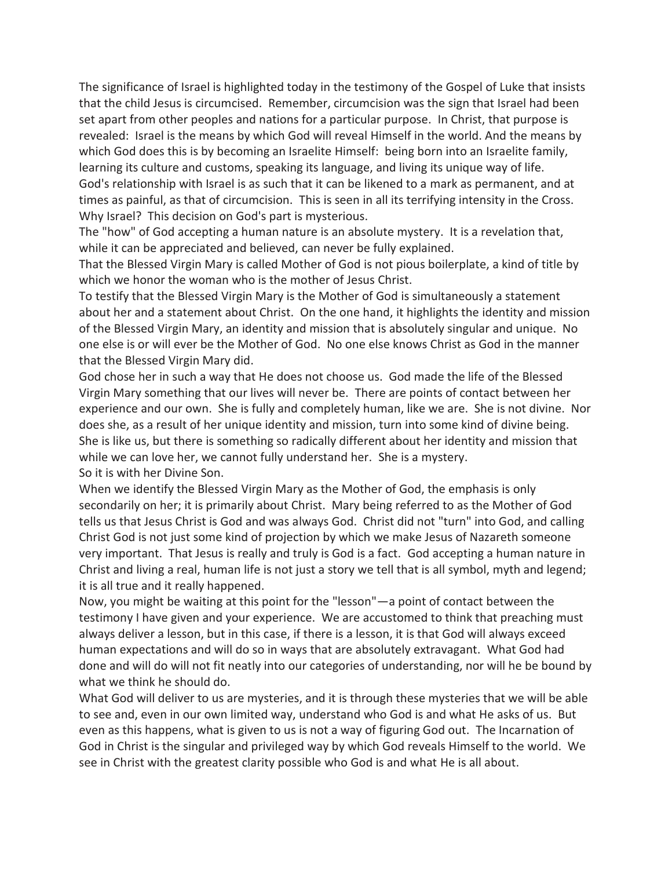The significance of Israel is highlighted today in the testimony of the Gospel of Luke that insists that the child Jesus is circumcised. Remember, circumcision was the sign that Israel had been set apart from other peoples and nations for a particular purpose. In Christ, that purpose is revealed: Israel is the means by which God will reveal Himself in the world. And the means by which God does this is by becoming an Israelite Himself: being born into an Israelite family, learning its culture and customs, speaking its language, and living its unique way of life. God's relationship with Israel is as such that it can be likened to a mark as permanent, and at times as painful, as that of circumcision. This is seen in all its terrifying intensity in the Cross. Why Israel? This decision on God's part is mysterious.

The "how" of God accepting a human nature is an absolute mystery. It is a revelation that, while it can be appreciated and believed, can never be fully explained.

That the Blessed Virgin Mary is called Mother of God is not pious boilerplate, a kind of title by which we honor the woman who is the mother of Jesus Christ.

To testify that the Blessed Virgin Mary is the Mother of God is simultaneously a statement about her and a statement about Christ. On the one hand, it highlights the identity and mission of the Blessed Virgin Mary, an identity and mission that is absolutely singular and unique. No one else is or will ever be the Mother of God. No one else knows Christ as God in the manner that the Blessed Virgin Mary did.

God chose her in such a way that He does not choose us. God made the life of the Blessed Virgin Mary something that our lives will never be. There are points of contact between her experience and our own. She is fully and completely human, like we are. She is not divine. Nor does she, as a result of her unique identity and mission, turn into some kind of divine being. She is like us, but there is something so radically different about her identity and mission that while we can love her, we cannot fully understand her. She is a mystery. So it is with her Divine Son.

When we identify the Blessed Virgin Mary as the Mother of God, the emphasis is only secondarily on her; it is primarily about Christ. Mary being referred to as the Mother of God tells us that Jesus Christ is God and was always God. Christ did not "turn" into God, and calling Christ God is not just some kind of projection by which we make Jesus of Nazareth someone very important. That Jesus is really and truly is God is a fact. God accepting a human nature in Christ and living a real, human life is not just a story we tell that is all symbol, myth and legend; it is all true and it really happened.

Now, you might be waiting at this point for the "lesson"—a point of contact between the testimony I have given and your experience. We are accustomed to think that preaching must always deliver a lesson, but in this case, if there is a lesson, it is that God will always exceed human expectations and will do so in ways that are absolutely extravagant. What God had done and will do will not fit neatly into our categories of understanding, nor will he be bound by what we think he should do.

What God will deliver to us are mysteries, and it is through these mysteries that we will be able to see and, even in our own limited way, understand who God is and what He asks of us. But even as this happens, what is given to us is not a way of figuring God out. The Incarnation of God in Christ is the singular and privileged way by which God reveals Himself to the world. We see in Christ with the greatest clarity possible who God is and what He is all about.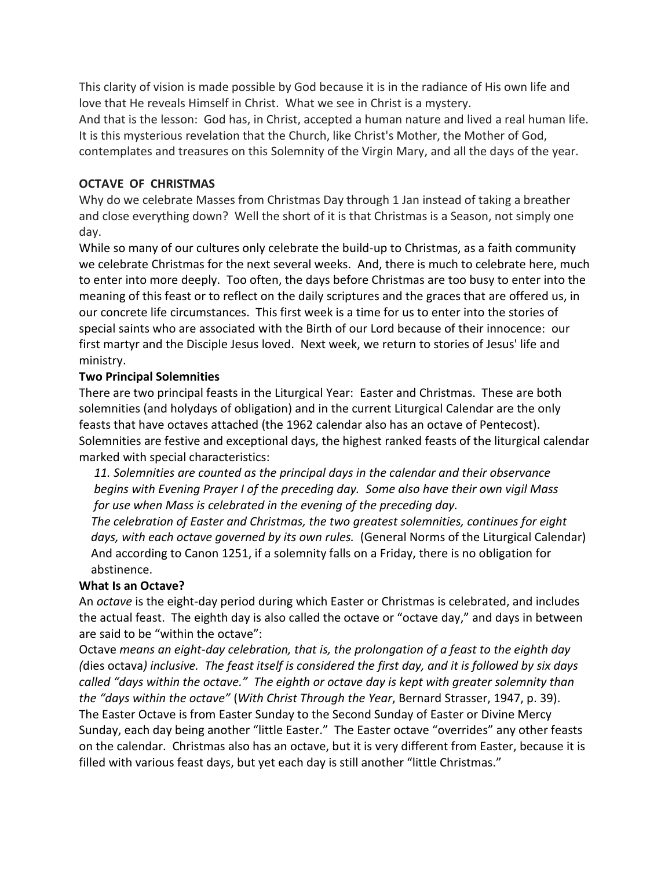This clarity of vision is made possible by God because it is in the radiance of His own life and love that He reveals Himself in Christ. What we see in Christ is a mystery.

And that is the lesson: God has, in Christ, accepted a human nature and lived a real human life. It is this mysterious revelation that the Church, like Christ's Mother, the Mother of God, contemplates and treasures on this Solemnity of the Virgin Mary, and all the days of the year.

## **OCTAVE OF CHRISTMAS**

Why do we celebrate Masses from Christmas Day through 1 Jan instead of taking a breather and close everything down? Well the short of it is that Christmas is a Season, not simply one day.

While so many of our cultures only celebrate the build-up to Christmas, as a faith community we celebrate Christmas for the next several weeks. And, there is much to celebrate here, much to enter into more deeply. Too often, the days before Christmas are too busy to enter into the meaning of this feast or to reflect on the daily scriptures and the graces that are offered us, in our concrete life circumstances. This first week is a time for us to enter into the stories of special saints who are associated with the Birth of our Lord because of their innocence: our first martyr and the Disciple Jesus loved. Next week, we return to stories of Jesus' life and ministry.

### **Two Principal Solemnities**

There are two principal feasts in the Liturgical Year: Easter and Christmas. These are both solemnities (and holydays of obligation) and in the current Liturgical Calendar are the only feasts that have octaves attached (the 1962 calendar also has an octave of Pentecost). Solemnities are festive and exceptional days, the highest ranked feasts of the liturgical calendar marked with special characteristics:

 *11. Solemnities are counted as the principal days in the calendar and their observance begins with Evening Prayer I of the preceding day. Some also have their own vigil Mass for use when Mass is celebrated in the evening of the preceding day.*

 *The celebration of Easter and Christmas, the two greatest solemnities, continues for eight days, with each octave governed by its own rules.* (General Norms of the Liturgical Calendar) And according to Canon 1251, if a solemnity falls on a Friday, there is no obligation for abstinence.

# **What Is an Octave?**

An *octave* is the eight-day period during which Easter or Christmas is celebrated, and includes the actual feast. The eighth day is also called the octave or "octave day," and days in between are said to be "within the octave":

Octave *means an eight-day celebration, that is, the prolongation of a feast to the eighth day (*dies octava*) inclusive. The feast itself is considered the first day, and it is followed by six days called "days within the octave." The eighth or octave day is kept with greater solemnity than the "days within the octave"* (*With Christ Through the Year*, Bernard Strasser, 1947, p. 39). The Easter Octave is from Easter Sunday to the Second Sunday of Easter or Divine Mercy Sunday, each day being another "little Easter." The Easter octave "overrides" any other feasts on the calendar. Christmas also has an octave, but it is very different from Easter, because it is filled with various feast days, but yet each day is still another "little Christmas."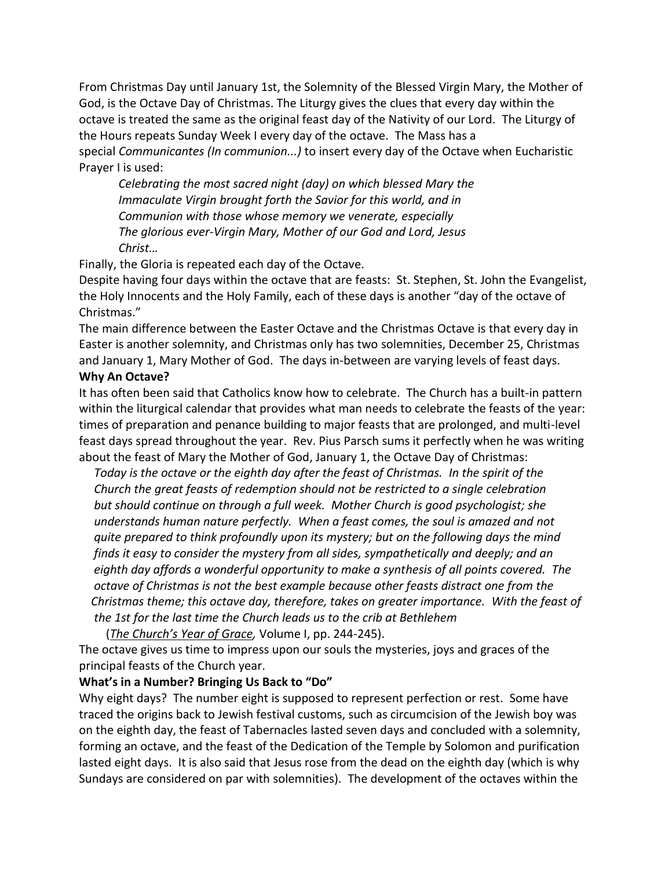From Christmas Day until January 1st, the Solemnity of the Blessed Virgin Mary, the Mother of God, is the Octave Day of Christmas. The Liturgy gives the clues that every day within the octave is treated the same as the original feast day of the Nativity of our Lord. The Liturgy of the Hours repeats Sunday Week I every day of the octave. The Mass has a special *Communicantes (In communion...)* to insert every day of the Octave when Eucharistic Prayer I is used:

*Celebrating the most sacred night (day) on which blessed Mary the Immaculate Virgin brought forth the Savior for this world, and in Communion with those whose memory we venerate, especially The glorious ever-Virgin Mary, Mother of our God and Lord, Jesus Christ…* 

Finally, the Gloria is repeated each day of the Octave.

Despite having four days within the octave that are feasts: St. Stephen, St. John the Evangelist, the Holy Innocents and the Holy Family, each of these days is another "day of the octave of Christmas."

The main difference between the Easter Octave and the Christmas Octave is that every day in Easter is another solemnity, and Christmas only has two solemnities, December 25, Christmas and January 1, Mary Mother of God. The days in-between are varying levels of feast days.

# **Why An Octave?**

It has often been said that Catholics know how to celebrate. The Church has a built-in pattern within the liturgical calendar that provides what man needs to celebrate the feasts of the year: times of preparation and penance building to major feasts that are prolonged, and multi-level feast days spread throughout the year. Rev. Pius Parsch sums it perfectly when he was writing about the feast of Mary the Mother of God, January 1, the Octave Day of Christmas:

 *Today is the octave or the eighth day after the feast of Christmas. In the spirit of the Church the great feasts of redemption should not be restricted to a single celebration but should continue on through a full week. Mother Church is good psychologist; she understands human nature perfectly. When a feast comes, the soul is amazed and not quite prepared to think profoundly upon its mystery; but on the following days the mind finds it easy to consider the mystery from all sides, sympathetically and deeply; and an eighth day affords a wonderful opportunity to make a synthesis of all points covered. The octave of Christmas is not the best example because other feasts distract one from the Christmas theme; this octave day, therefore, takes on greater importance. With the feast of the 1st for the last time the Church leads us to the crib at Bethlehem*

(*The Church's Year of Grace,* Volume I, pp. 244-245).

The octave gives us time to impress upon our souls the mysteries, joys and graces of the principal feasts of the Church year.

# **What's in a Number? Bringing Us Back to "Do"**

Why eight days? The number eight is supposed to represent perfection or rest. Some have traced the origins back to Jewish festival customs, such as circumcision of the Jewish boy was on the eighth day, the feast of Tabernacles lasted seven days and concluded with a solemnity, forming an octave, and the feast of the Dedication of the Temple by Solomon and purification lasted eight days. It is also said that Jesus rose from the dead on the eighth day (which is why Sundays are considered on par with solemnities). The development of the octaves within the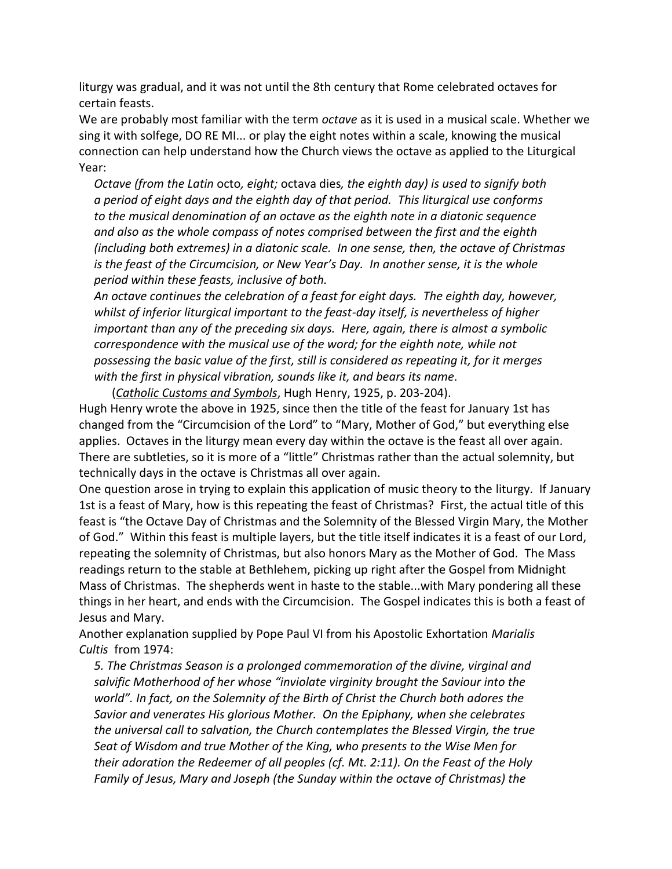liturgy was gradual, and it was not until the 8th century that Rome celebrated octaves for certain feasts.

We are probably most familiar with the term *octave* as it is used in a musical scale. Whether we sing it with solfege, DO RE MI... or play the eight notes within a scale, knowing the musical connection can help understand how the Church views the octave as applied to the Liturgical Year:

 *Octave (from the Latin* octo*, eight;* octava dies*, the eighth day) is used to signify both a period of eight days and the eighth day of that period. This liturgical use conforms to the musical denomination of an octave as the eighth note in a diatonic sequence and also as the whole compass of notes comprised between the first and the eighth (including both extremes) in a diatonic scale. In one sense, then, the octave of Christmas is the feast of the Circumcision, or New Year's Day. In another sense, it is the whole period within these feasts, inclusive of both.*

 *An octave continues the celebration of a feast for eight days. The eighth day, however, whilst of inferior liturgical important to the feast-day itself, is nevertheless of higher important than any of the preceding six days. Here, again, there is almost a symbolic correspondence with the musical use of the word; for the eighth note, while not possessing the basic value of the first, still is considered as repeating it, for it merges with the first in physical vibration, sounds like it, and bears its name.*

(*Catholic Customs and Symbols*, Hugh Henry, 1925, p. 203-204).

Hugh Henry wrote the above in 1925, since then the title of the feast for January 1st has changed from the "Circumcision of the Lord" to "Mary, Mother of God," but everything else applies. Octaves in the liturgy mean every day within the octave is the feast all over again. There are subtleties, so it is more of a "little" Christmas rather than the actual solemnity, but technically days in the octave is Christmas all over again.

One question arose in trying to explain this application of music theory to the liturgy. If January 1st is a feast of Mary, how is this repeating the feast of Christmas? First, the actual title of this feast is "the Octave Day of Christmas and the Solemnity of the Blessed Virgin Mary, the Mother of God." Within this feast is multiple layers, but the title itself indicates it is a feast of our Lord, repeating the solemnity of Christmas, but also honors Mary as the Mother of God. The Mass readings return to the stable at Bethlehem, picking up right after the Gospel from Midnight Mass of Christmas. The shepherds went in haste to the stable...with Mary pondering all these things in her heart, and ends with the Circumcision. The Gospel indicates this is both a feast of Jesus and Mary.

Another explanation supplied by Pope Paul VI from his Apostolic Exhortation *Marialis Cultis* from 1974:

 *5. The Christmas Season is a prolonged commemoration of the divine, virginal and salvific Motherhood of her whose "inviolate virginity brought the Saviour into the world". In fact, on the Solemnity of the Birth of Christ the Church both adores the Savior and venerates His glorious Mother. On the Epiphany, when she celebrates the universal call to salvation, the Church contemplates the Blessed Virgin, the true Seat of Wisdom and true Mother of the King, who presents to the Wise Men for their adoration the Redeemer of all peoples (cf. Mt. 2:11). On the Feast of the Holy Family of Jesus, Mary and Joseph (the Sunday within the octave of Christmas) the*